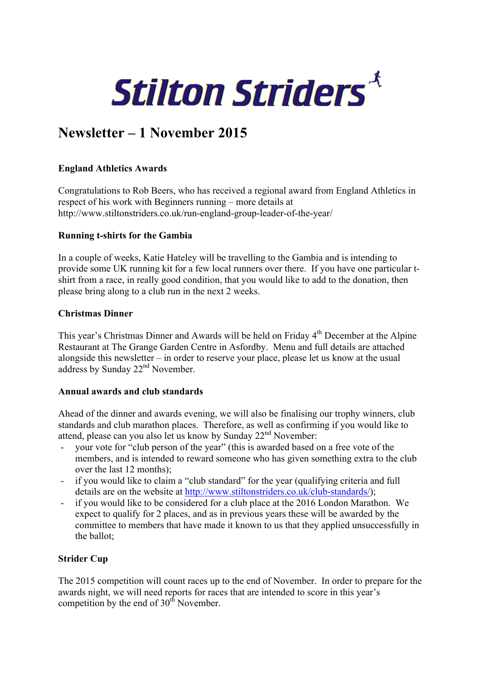

# **Newsletter – 1 November 2015**

#### **England Athletics Awards**

Congratulations to Rob Beers, who has received a regional award from England Athletics in respect of his work with Beginners running – more details at http://www.stiltonstriders.co.uk/run-england-group-leader-of-the-year/

#### **Running t-shirts for the Gambia**

In a couple of weeks, Katie Hateley will be travelling to the Gambia and is intending to provide some UK running kit for a few local runners over there. If you have one particular tshirt from a race, in really good condition, that you would like to add to the donation, then please bring along to a club run in the next 2 weeks.

#### **Christmas Dinner**

This year's Christmas Dinner and Awards will be held on Friday 4<sup>th</sup> December at the Alpine Restaurant at The Grange Garden Centre in Asfordby. Menu and full details are attached alongside this newsletter – in order to reserve your place, please let us know at the usual address by Sunday 22<sup>nd</sup> November.

## **Annual awards and club standards**

Ahead of the dinner and awards evening, we will also be finalising our trophy winners, club standards and club marathon places. Therefore, as well as confirming if you would like to attend, please can you also let us know by Sunday 22nd November:

- your vote for "club person of the year" (this is awarded based on a free vote of the members, and is intended to reward someone who has given something extra to the club over the last 12 months);
- if you would like to claim a "club standard" for the year (qualifying criteria and full details are on the website at http://www.stiltonstriders.co.uk/club-standards/);
- if you would like to be considered for a club place at the 2016 London Marathon. We expect to qualify for 2 places, and as in previous years these will be awarded by the committee to members that have made it known to us that they applied unsuccessfully in the ballot;

## **Strider Cup**

The 2015 competition will count races up to the end of November. In order to prepare for the awards night, we will need reports for races that are intended to score in this year's competition by the end of  $30<sup>th</sup>$  November.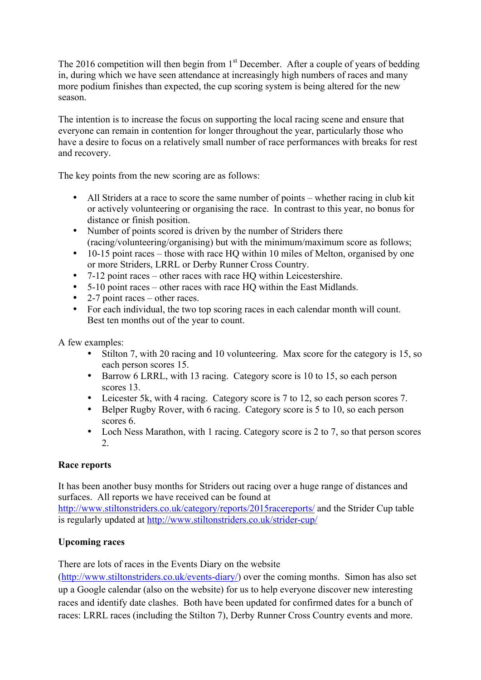The 2016 competition will then begin from 1<sup>st</sup> December. After a couple of years of bedding in, during which we have seen attendance at increasingly high numbers of races and many more podium finishes than expected, the cup scoring system is being altered for the new season.

The intention is to increase the focus on supporting the local racing scene and ensure that everyone can remain in contention for longer throughout the year, particularly those who have a desire to focus on a relatively small number of race performances with breaks for rest and recovery.

The key points from the new scoring are as follows:

- All Striders at a race to score the same number of points whether racing in club kit or actively volunteering or organising the race. In contrast to this year, no bonus for distance or finish position.
- Number of points scored is driven by the number of Striders there (racing/volunteering/organising) but with the minimum/maximum score as follows;
- 10-15 point races those with race HO within 10 miles of Melton, organised by one or more Striders, LRRL or Derby Runner Cross Country.
- 7-12 point races other races with race HQ within Leicestershire.
- 5-10 point races other races with race HQ within the East Midlands.
- 2-7 point races other races.
- For each individual, the two top scoring races in each calendar month will count. Best ten months out of the year to count.

A few examples:

- Stilton 7, with 20 racing and 10 volunteering. Max score for the category is 15, so each person scores 15.
- Barrow 6 LRRL, with 13 racing. Category score is 10 to 15, so each person scores 13.
- Leicester 5k, with 4 racing. Category score is 7 to 12, so each person scores 7.
- Belper Rugby Rover, with 6 racing. Category score is 5 to 10, so each person scores 6.
- Loch Ness Marathon, with 1 racing. Category score is 2 to 7, so that person scores 2.

## **Race reports**

It has been another busy months for Striders out racing over a huge range of distances and surfaces. All reports we have received can be found at

http://www.stiltonstriders.co.uk/category/reports/2015racereports/ and the Strider Cup table is regularly updated at http://www.stiltonstriders.co.uk/strider-cup/

## **Upcoming races**

There are lots of races in the Events Diary on the website

(http://www.stiltonstriders.co.uk/events-diary/) over the coming months. Simon has also set up a Google calendar (also on the website) for us to help everyone discover new interesting races and identify date clashes. Both have been updated for confirmed dates for a bunch of races: LRRL races (including the Stilton 7), Derby Runner Cross Country events and more.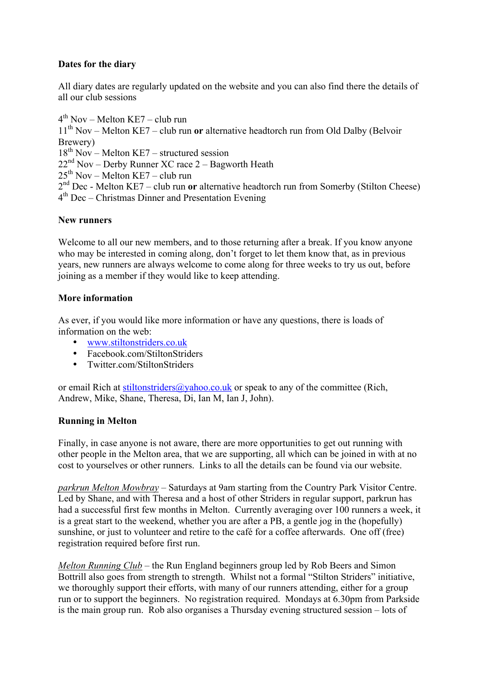## **Dates for the diary**

All diary dates are regularly updated on the website and you can also find there the details of all our club sessions

 $4<sup>th</sup> Nov - Melton KE7 - club run$ 

11th Nov – Melton KE7 – club run **or** alternative headtorch run from Old Dalby (Belvoir Brewery)

 $18<sup>th</sup>$  Nov – Melton KE7 – structured session

 $22<sup>nd</sup>$  Nov – Derby Runner XC race 2 – Bagworth Heath

 $25<sup>th</sup>$  Nov – Melton KE7 – club run

2<sup>nd</sup> Dec - Melton KE7 – club run **or** alternative headtorch run from Somerby (Stilton Cheese)

 $4<sup>th</sup>$  Dec – Christmas Dinner and Presentation Evening

#### **New runners**

Welcome to all our new members, and to those returning after a break. If you know anyone who may be interested in coming along, don't forget to let them know that, as in previous years, new runners are always welcome to come along for three weeks to try us out, before joining as a member if they would like to keep attending.

#### **More information**

As ever, if you would like more information or have any questions, there is loads of information on the web:

- www.stiltonstriders.co.uk
- Facebook.com/StiltonStriders
- Twitter.com/StiltonStriders

or email Rich at stiltonstriders@yahoo.co.uk or speak to any of the committee (Rich, Andrew, Mike, Shane, Theresa, Di, Ian M, Ian J, John).

## **Running in Melton**

Finally, in case anyone is not aware, there are more opportunities to get out running with other people in the Melton area, that we are supporting, all which can be joined in with at no cost to yourselves or other runners. Links to all the details can be found via our website.

*parkrun Melton Mowbray* – Saturdays at 9am starting from the Country Park Visitor Centre. Led by Shane, and with Theresa and a host of other Striders in regular support, parkrun has had a successful first few months in Melton. Currently averaging over 100 runners a week, it is a great start to the weekend, whether you are after a PB, a gentle jog in the (hopefully) sunshine, or just to volunteer and retire to the café for a coffee afterwards. One off (free) registration required before first run.

*Melton Running Club* – the Run England beginners group led by Rob Beers and Simon Bottrill also goes from strength to strength. Whilst not a formal "Stilton Striders" initiative, we thoroughly support their efforts, with many of our runners attending, either for a group run or to support the beginners. No registration required. Mondays at 6.30pm from Parkside is the main group run. Rob also organises a Thursday evening structured session – lots of